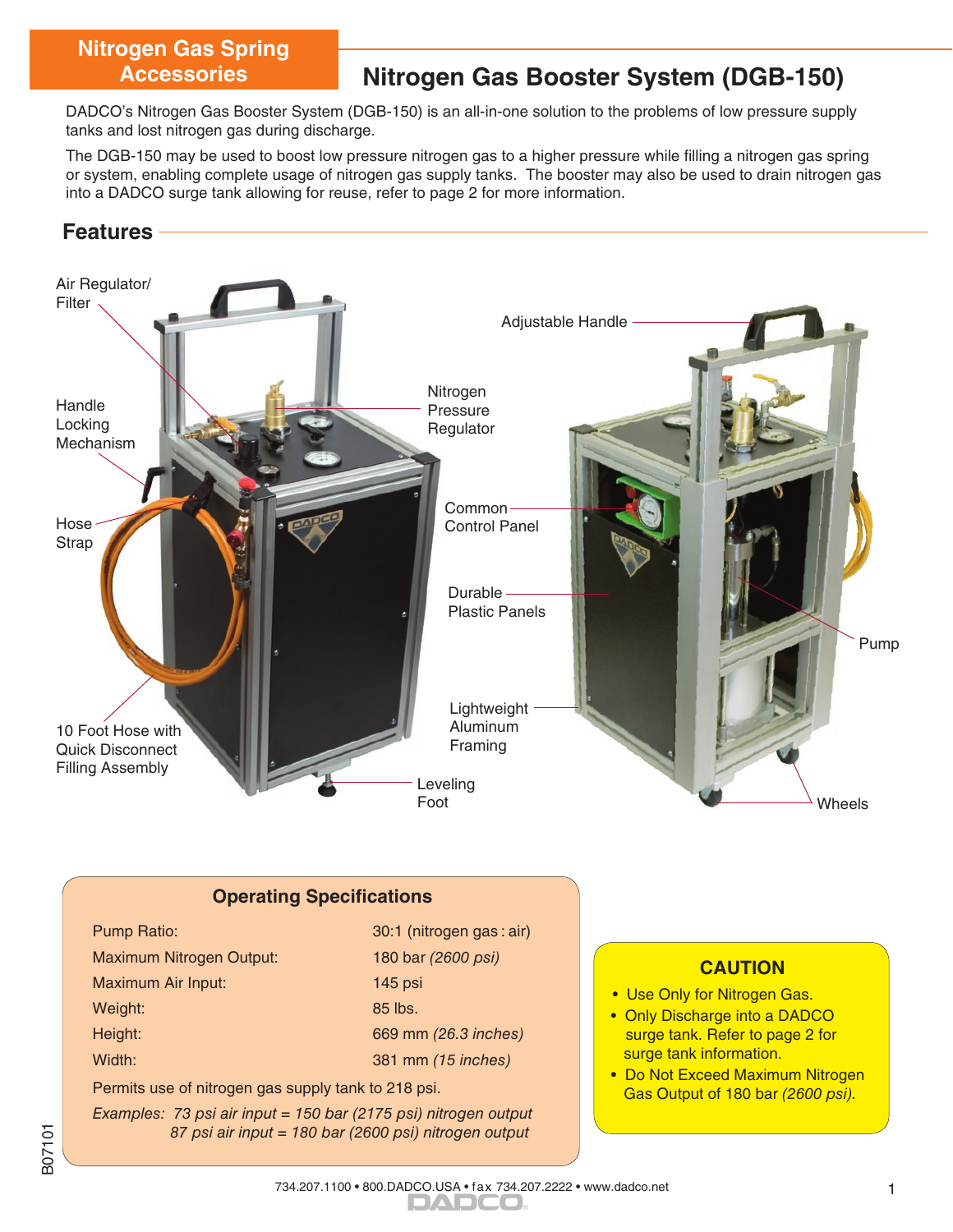# **Nitrogen Gas Spring**

## **Accessories Nitrogen Gas Booster System (DGB-150)**

DADCO's Nitrogen Gas Booster System (DGB-150) is an all-in-one solution to the problems of low pressure supply tanks and lost nitrogen gas during discharge.

The DGB-150 may be used to boost low pressure nitrogen gas to a higher pressure while filling a nitrogen gas spring or system, enabling complete usage of nitrogen gas supply tanks. The booster may also be used to drain nitrogen gas into a DADCO surge tank allowing for reuse, refer to page 2 for more information.

### **Features**



#### **Operating Specifications**

| Pump Ratio:                     |
|---------------------------------|
| <b>Maximum Nitrogen Output:</b> |
| Maximum Air Input:              |
| Weight:                         |
| Height:                         |
| $X \wedge U$ and $Y$            |

Ī

30:1 (nitrogen gas : air) 180 bar (2600 psi) 145 psi 85 lbs. 669 mm (26.3 inches) Width: 381 mm (15 inches)

Permits use of nitrogen gas supply tank to 218 psi.

Examples: 73 psi air input = 150 bar (2175 psi) nitrogen output 87 psi air input = 180 bar (2600 psi) nitrogen output

#### **CAUTION**

• Use Only for Nitrogen Gas.

ī

- Only Discharge into a DADCO surge tank. Refer to page 2 for surge tank information.
- Do Not Exceed Maximum Nitrogen Gas Output of 180 bar (2600 psi).